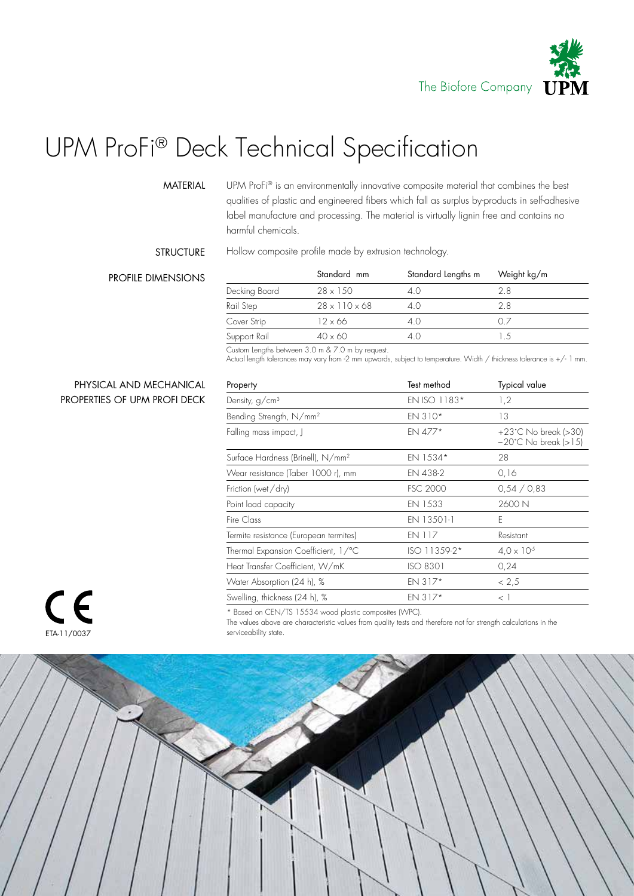

# UPM ProFi® Deck Technical Specification

#### MATERIAL

UPM ProFi® is an environmentally innovative composite material that combines the best qualities of plastic and engineered fibers which fall as surplus by-products in self-adhesive label manufacture and processing. The material is virtually lignin free and contains no harmful chemicals.

### **STRUCTURE**

Hollow composite profile made by extrusion technology.

### PROFILE DIMENSIONS

|               | Standard mm               | Standard Lengths m | Weight kg/m<br>2.8 |  |
|---------------|---------------------------|--------------------|--------------------|--|
| Decking Board | $28 \times 150$           | 4 ()               |                    |  |
| Rail Step     | $28 \times 110 \times 68$ | 40                 | 2.8                |  |
| Cover Strip   | $12 \times 66$            | 4.0                |                    |  |
| Support Rail  | $40 \times 60$            | 4.0                |                    |  |

Custom Lengths between 3.0 m & 7.0 m by request.

Actual length tolerances may vary from -2 mm upwards, subject to temperature. Width / thickness tolerance is +/- 1 mm.

## PHYSICAL AND MECHANICAL PROPERTIES OF UPM PROFI DECK

| Property                                      | Test method     | Typical value                                                    |  |  |
|-----------------------------------------------|-----------------|------------------------------------------------------------------|--|--|
| Density, g/cm <sup>3</sup>                    | EN ISO 1183*    | 1,2                                                              |  |  |
| Bending Strength, N/mm <sup>2</sup>           | EN 310*         | 13                                                               |  |  |
| Falling mass impact, J                        | EN 477*         | $+23^{\circ}$ C No break (>30)<br>$-20^{\circ}$ C No break (>15) |  |  |
| Surface Hardness (Brinell), N/mm <sup>2</sup> | EN 1534*        | 28                                                               |  |  |
| Wear resistance (Taber 1000 r), mm            | EN 438-2        | 0,16                                                             |  |  |
| Friction (wet/dry)                            | <b>FSC 2000</b> | 0,54/0,83                                                        |  |  |
| Point load capacity                           | EN 1533         | 2600 N                                                           |  |  |
| Fire Class                                    | EN 13501-1      | F                                                                |  |  |
| Termite resistance (European termites)        | <b>EN 117</b>   | Resistant                                                        |  |  |
| Thermal Expansion Coefficient, 1/°C           | ISO 11359-2*    | $4.0 \times 10^{-5}$                                             |  |  |
| Heat Transfer Coefficient, W/mK               | ISO 8301        | 0,24                                                             |  |  |
| Water Absorption (24 h), %                    | $EN$ 317*       | < 2, 5                                                           |  |  |
| Swelling, thickness (24 h), %                 | $EN$ 317*       | $\langle \ \cdot \ \rangle$                                      |  |  |
|                                               |                 |                                                                  |  |  |



\* Based on CEN/TS 15534 wood plastic composites (WPC). The values above are characteristic values from quality tests and therefore not for strength calculations in the

serviceability state.